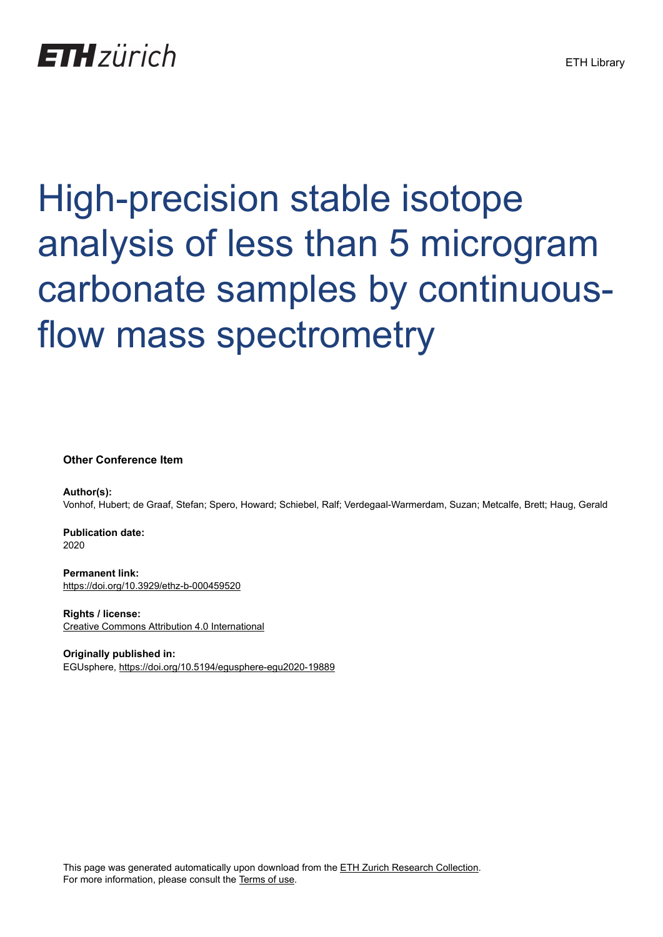## High-precision stable isotope analysis of less than 5 microgram carbonate samples by continuousflow mass spectrometry

**Other Conference Item**

**Author(s):** Vonhof, Hubert; de Graaf, Stefan; Spero, Howard; Schiebel, Ralf; Verdegaal-Warmerdam, Suzan; Metcalfe, Brett; Haug, Gerald

**Publication date:** 2020

**Permanent link:** <https://doi.org/10.3929/ethz-b-000459520>

**Rights / license:** [Creative Commons Attribution 4.0 International](http://creativecommons.org/licenses/by/4.0/)

**Originally published in:** EGUsphere, <https://doi.org/10.5194/egusphere-egu2020-19889>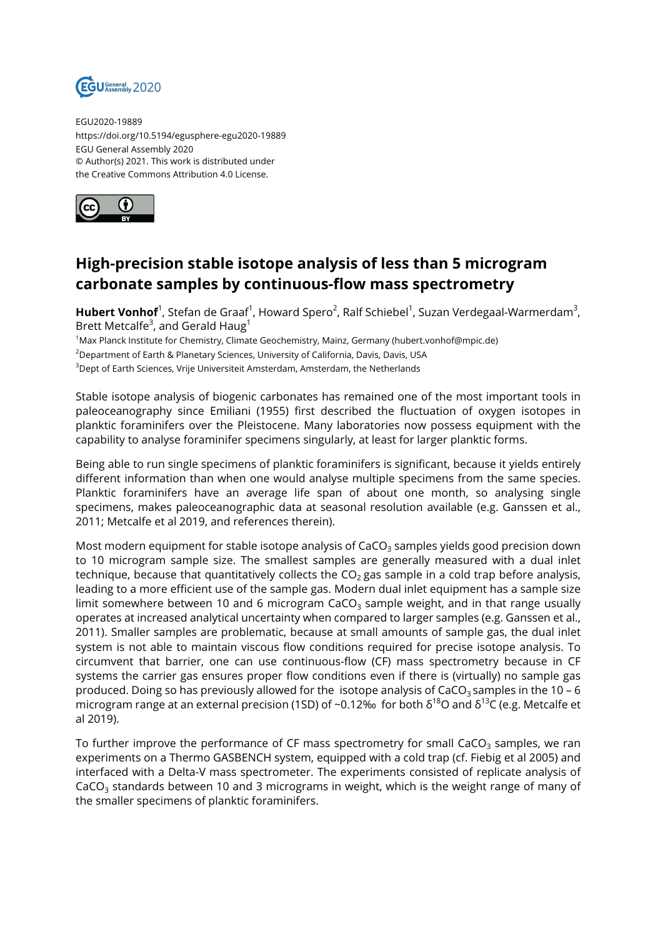

EGU2020-19889 https://doi.org/10.5194/egusphere-egu2020-19889 EGU General Assembly 2020 © Author(s) 2021. This work is distributed under the Creative Commons Attribution 4.0 License.



## **High-precision stable isotope analysis of less than 5 microgram carbonate samples by continuous-flow mass spectrometry**

**Hubert Vonhof**<sup>1</sup>, Stefan de Graaf<sup>1</sup>, Howard Spero<sup>2</sup>, Ralf Schiebel<sup>1</sup>, Suzan Verdegaal-Warmerdam<sup>3</sup>, Brett Metcalfe $3$ , and Gerald Haug $^1$ 

<sup>1</sup>Max Planck Institute for Chemistry, Climate Geochemistry, Mainz, Germany (hubert.vonhof@mpic.de)

<sup>2</sup>Department of Earth & Planetary Sciences, University of California, Davis, Davis, USA

<sup>3</sup>Dept of Earth Sciences, Vrije Universiteit Amsterdam, Amsterdam, the Netherlands

Stable isotope analysis of biogenic carbonates has remained one of the most important tools in paleoceanography since Emiliani (1955) first described the fluctuation of oxygen isotopes in planktic foraminifers over the Pleistocene. Many laboratories now possess equipment with the capability to analyse foraminifer specimens singularly, at least for larger planktic forms.

Being able to run single specimens of planktic foraminifers is significant, because it yields entirely different information than when one would analyse multiple specimens from the same species. Planktic foraminifers have an average life span of about one month, so analysing single specimens, makes paleoceanographic data at seasonal resolution available (e.g. Ganssen et al., 2011; Metcalfe et al 2019, and references therein).

Most modern equipment for stable isotope analysis of  $CaCO<sub>3</sub>$  samples yields good precision down to 10 microgram sample size. The smallest samples are generally measured with a dual inlet technique, because that quantitatively collects the  $CO<sub>2</sub>$  gas sample in a cold trap before analysis, leading to a more efficient use of the sample gas. Modern dual inlet equipment has a sample size limit somewhere between 10 and 6 microgram  $CaCO<sub>3</sub>$  sample weight, and in that range usually operates at increased analytical uncertainty when compared to larger samples (e.g. Ganssen et al., 2011). Smaller samples are problematic, because at small amounts of sample gas, the dual inlet system is not able to maintain viscous flow conditions required for precise isotope analysis. To circumvent that barrier, one can use continuous-flow (CF) mass spectrometry because in CF systems the carrier gas ensures proper flow conditions even if there is (virtually) no sample gas produced. Doing so has previously allowed for the isotope analysis of CaCO<sub>3</sub> samples in the 10 – 6 microgram range at an external precision (1SD) of ~0.12‰ for both  $\delta^{18}$ O and  $\delta^{13}$ C (e.g. Metcalfe et al 2019).

To further improve the performance of CF mass spectrometry for small CaCO<sub>3</sub> samples, we ran experiments on a Thermo GASBENCH system, equipped with a cold trap (cf. Fiebig et al 2005) and interfaced with a Delta-V mass spectrometer. The experiments consisted of replicate analysis of  $CaCO<sub>3</sub>$  standards between 10 and 3 micrograms in weight, which is the weight range of many of the smaller specimens of planktic foraminifers.